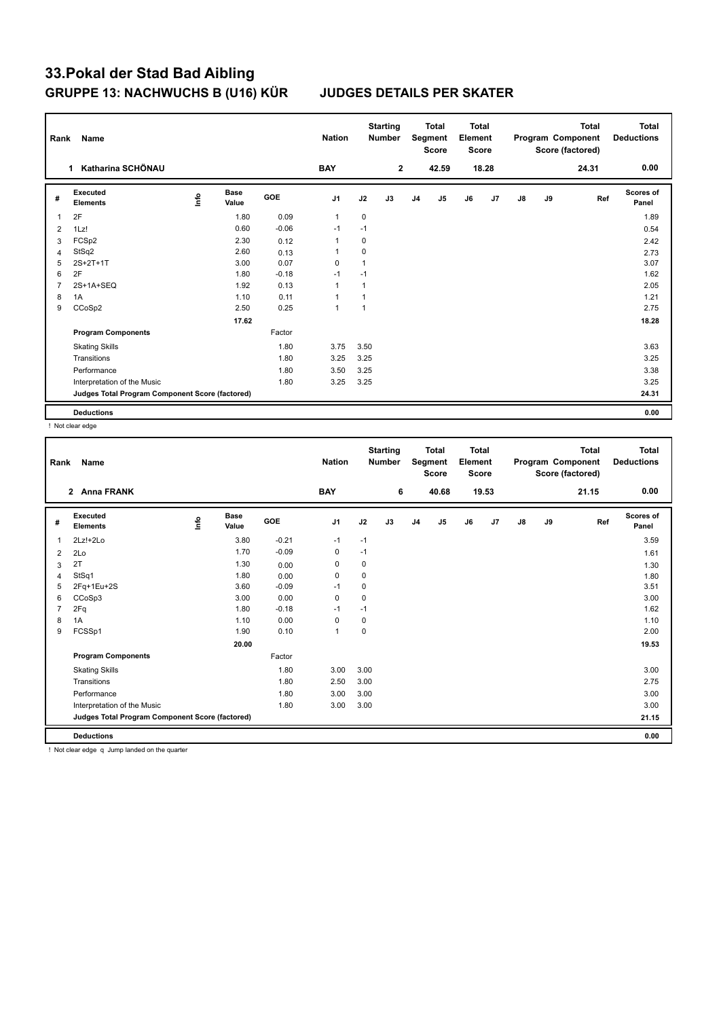| Rank           | Name                                            |      |                      |            | <b>Nation</b>  |              | <b>Starting</b><br><b>Number</b> |                | <b>Total</b><br>Segment<br><b>Score</b> | <b>Total</b><br>Element<br><b>Score</b> |                |               |    | <b>Total</b><br>Program Component<br>Score (factored) | <b>Total</b><br><b>Deductions</b> |
|----------------|-------------------------------------------------|------|----------------------|------------|----------------|--------------|----------------------------------|----------------|-----------------------------------------|-----------------------------------------|----------------|---------------|----|-------------------------------------------------------|-----------------------------------|
|                | Katharina SCHÖNAU<br>1                          |      |                      |            | <b>BAY</b>     |              | $\overline{2}$                   |                | 42.59                                   |                                         | 18.28          |               |    | 24.31                                                 | 0.00                              |
| #              | Executed<br><b>Elements</b>                     | ١nfo | <b>Base</b><br>Value | <b>GOE</b> | J <sub>1</sub> | J2           | J3                               | J <sub>4</sub> | J5                                      | J6                                      | J <sub>7</sub> | $\mathsf{J}8$ | J9 | Ref                                                   | Scores of<br>Panel                |
| $\overline{1}$ | 2F                                              |      | 1.80                 | 0.09       | $\mathbf{1}$   | $\mathbf 0$  |                                  |                |                                         |                                         |                |               |    |                                                       | 1.89                              |
| 2              | 1Lz!                                            |      | 0.60                 | $-0.06$    | $-1$           | $-1$         |                                  |                |                                         |                                         |                |               |    |                                                       | 0.54                              |
| 3              | FCSp2                                           |      | 2.30                 | 0.12       | $\mathbf 1$    | 0            |                                  |                |                                         |                                         |                |               |    |                                                       | 2.42                              |
| $\overline{4}$ | StSq2                                           |      | 2.60                 | 0.13       | $\overline{1}$ | $\mathbf 0$  |                                  |                |                                         |                                         |                |               |    |                                                       | 2.73                              |
| 5              | 2S+2T+1T                                        |      | 3.00                 | 0.07       | $\Omega$       | 1            |                                  |                |                                         |                                         |                |               |    |                                                       | 3.07                              |
| 6              | 2F                                              |      | 1.80                 | $-0.18$    | $-1$           | $-1$         |                                  |                |                                         |                                         |                |               |    |                                                       | 1.62                              |
| $\overline{7}$ | 2S+1A+SEQ                                       |      | 1.92                 | 0.13       | $\overline{1}$ | 1            |                                  |                |                                         |                                         |                |               |    |                                                       | 2.05                              |
| 8              | 1A                                              |      | 1.10                 | 0.11       | $\overline{1}$ | 1            |                                  |                |                                         |                                         |                |               |    |                                                       | 1.21                              |
| 9              | CCoSp2                                          |      | 2.50                 | 0.25       | $\mathbf{1}$   | $\mathbf{1}$ |                                  |                |                                         |                                         |                |               |    |                                                       | 2.75                              |
|                |                                                 |      | 17.62                |            |                |              |                                  |                |                                         |                                         |                |               |    |                                                       | 18.28                             |
|                | <b>Program Components</b>                       |      |                      | Factor     |                |              |                                  |                |                                         |                                         |                |               |    |                                                       |                                   |
|                | <b>Skating Skills</b>                           |      |                      | 1.80       | 3.75           | 3.50         |                                  |                |                                         |                                         |                |               |    |                                                       | 3.63                              |
|                | Transitions                                     |      |                      | 1.80       | 3.25           | 3.25         |                                  |                |                                         |                                         |                |               |    |                                                       | 3.25                              |
|                | Performance                                     |      |                      | 1.80       | 3.50           | 3.25         |                                  |                |                                         |                                         |                |               |    |                                                       | 3.38                              |
|                | Interpretation of the Music                     |      |                      | 1.80       | 3.25           | 3.25         |                                  |                |                                         |                                         |                |               |    |                                                       | 3.25                              |
|                | Judges Total Program Component Score (factored) |      |                      |            |                |              |                                  |                |                                         |                                         |                |               |    |                                                       | 24.31                             |
|                | <b>Deductions</b>                               |      |                      |            |                |              |                                  |                |                                         |                                         |                |               |    |                                                       | 0.00                              |

! Not clear edge

|              |                                                 |                            |         | <b>Nation</b> |             | <b>Number</b> |                | Segment<br><b>Score</b> | Element<br><b>Score</b> |       |               |    | Program Component<br>Score (factored) | <b>Deductions</b>  |
|--------------|-------------------------------------------------|----------------------------|---------|---------------|-------------|---------------|----------------|-------------------------|-------------------------|-------|---------------|----|---------------------------------------|--------------------|
| $\mathbf{2}$ | <b>Anna FRANK</b>                               |                            |         | <b>BAY</b>    |             | 6             |                | 40.68                   |                         | 19.53 |               |    | 21.15                                 | 0.00               |
| #            | Executed<br><b>Elements</b>                     | <b>Base</b><br>۴ů<br>Value | GOE     | J1            | J2          | J3            | J <sub>4</sub> | J5                      | J6                      | J7    | $\mathsf{J}8$ | J9 | Ref                                   | Scores of<br>Panel |
| 1            | $2Lz!+2Lo$                                      | 3.80                       | $-0.21$ | $-1$          | $-1$        |               |                |                         |                         |       |               |    |                                       | 3.59               |
| 2            | 2Lo                                             | 1.70                       | $-0.09$ | 0             | $-1$        |               |                |                         |                         |       |               |    |                                       | 1.61               |
| 3            | 2T                                              | 1.30                       | 0.00    | 0             | 0           |               |                |                         |                         |       |               |    |                                       | 1.30               |
| 4            | StSq1                                           | 1.80                       | 0.00    | $\mathbf 0$   | $\mathbf 0$ |               |                |                         |                         |       |               |    |                                       | 1.80               |
| 5            | 2Fq+1Eu+2S                                      | 3.60                       | $-0.09$ | $-1$          | 0           |               |                |                         |                         |       |               |    |                                       | 3.51               |
| 6            | CCoSp3                                          | 3.00                       | 0.00    | $\mathbf 0$   | 0           |               |                |                         |                         |       |               |    |                                       | 3.00               |
| 7            | 2Fq                                             | 1.80                       | $-0.18$ | $-1$          | $-1$        |               |                |                         |                         |       |               |    |                                       | 1.62               |
| 8            | 1A                                              | 1.10                       | 0.00    | $\pmb{0}$     | $\pmb{0}$   |               |                |                         |                         |       |               |    |                                       | 1.10               |
| 9            | FCSSp1                                          | 1.90                       | 0.10    | $\mathbf{1}$  | $\mathbf 0$ |               |                |                         |                         |       |               |    |                                       | 2.00               |
|              |                                                 | 20.00                      |         |               |             |               |                |                         |                         |       |               |    |                                       | 19.53              |
|              | <b>Program Components</b>                       |                            | Factor  |               |             |               |                |                         |                         |       |               |    |                                       |                    |
|              | <b>Skating Skills</b>                           |                            | 1.80    | 3.00          | 3.00        |               |                |                         |                         |       |               |    |                                       | 3.00               |
|              | Transitions                                     |                            | 1.80    | 2.50          | 3.00        |               |                |                         |                         |       |               |    |                                       | 2.75               |
|              | Performance                                     |                            | 1.80    | 3.00          | 3.00        |               |                |                         |                         |       |               |    |                                       | 3.00               |
|              | Interpretation of the Music                     |                            | 1.80    | 3.00          | 3.00        |               |                |                         |                         |       |               |    |                                       | 3.00               |
|              | Judges Total Program Component Score (factored) |                            |         |               |             |               |                |                         |                         |       |               |    |                                       | 21.15              |
|              | <b>Deductions</b>                               |                            |         |               |             |               |                |                         |                         |       |               |    |                                       | 0.00               |

! Not clear edge q Jump landed on the quarter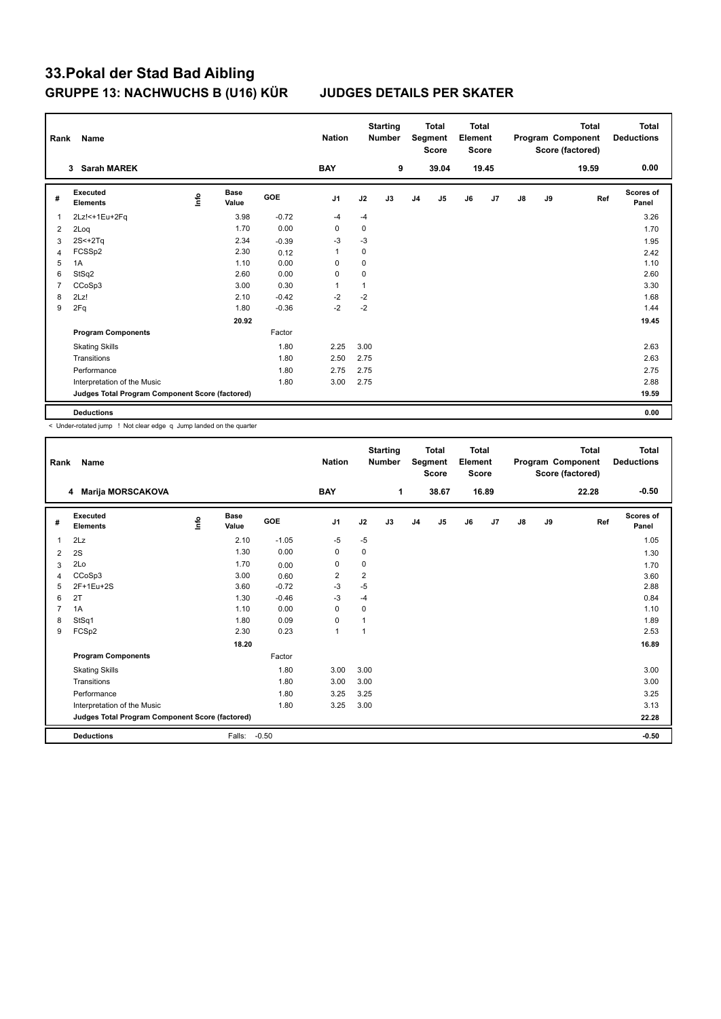| Rank           | Name                                            |      |                      |            | <b>Nation</b>  |      | <b>Starting</b><br><b>Number</b> |                | <b>Total</b><br>Segment<br><b>Score</b> | <b>Total</b><br>Element<br><b>Score</b> |                |               |    | Total<br>Program Component<br>Score (factored) | <b>Total</b><br><b>Deductions</b> |
|----------------|-------------------------------------------------|------|----------------------|------------|----------------|------|----------------------------------|----------------|-----------------------------------------|-----------------------------------------|----------------|---------------|----|------------------------------------------------|-----------------------------------|
|                | <b>Sarah MAREK</b><br>3                         |      |                      |            | <b>BAY</b>     |      | 9                                |                | 39.04                                   |                                         | 19.45          |               |    | 19.59                                          | 0.00                              |
| #              | Executed<br><b>Elements</b>                     | ١nfo | <b>Base</b><br>Value | <b>GOE</b> | J1             | J2   | J3                               | J <sub>4</sub> | J5                                      | J6                                      | J <sub>7</sub> | $\mathsf{J}8$ | J9 | Ref                                            | <b>Scores of</b><br>Panel         |
| $\overline{1}$ | 2Lz!<+1Eu+2Fq                                   |      | 3.98                 | $-0.72$    | $-4$           | $-4$ |                                  |                |                                         |                                         |                |               |    |                                                | 3.26                              |
| 2              | 2Loq                                            |      | 1.70                 | 0.00       | 0              | 0    |                                  |                |                                         |                                         |                |               |    |                                                | 1.70                              |
| 3              | $2S+2Tq$                                        |      | 2.34                 | $-0.39$    | $-3$           | $-3$ |                                  |                |                                         |                                         |                |               |    |                                                | 1.95                              |
| $\overline{4}$ | FCSSp2                                          |      | 2.30                 | 0.12       | $\mathbf{1}$   | 0    |                                  |                |                                         |                                         |                |               |    |                                                | 2.42                              |
| 5              | 1A                                              |      | 1.10                 | 0.00       | 0              | 0    |                                  |                |                                         |                                         |                |               |    |                                                | 1.10                              |
| 6              | StSq2                                           |      | 2.60                 | 0.00       | 0              | 0    |                                  |                |                                         |                                         |                |               |    |                                                | 2.60                              |
| $\overline{7}$ | CCoSp3                                          |      | 3.00                 | 0.30       | $\overline{1}$ | 1    |                                  |                |                                         |                                         |                |               |    |                                                | 3.30                              |
| 8              | 2Lz!                                            |      | 2.10                 | $-0.42$    | $-2$           | $-2$ |                                  |                |                                         |                                         |                |               |    |                                                | 1.68                              |
| 9              | 2Fq                                             |      | 1.80                 | $-0.36$    | $-2$           | $-2$ |                                  |                |                                         |                                         |                |               |    |                                                | 1.44                              |
|                |                                                 |      | 20.92                |            |                |      |                                  |                |                                         |                                         |                |               |    |                                                | 19.45                             |
|                | <b>Program Components</b>                       |      |                      | Factor     |                |      |                                  |                |                                         |                                         |                |               |    |                                                |                                   |
|                | <b>Skating Skills</b>                           |      |                      | 1.80       | 2.25           | 3.00 |                                  |                |                                         |                                         |                |               |    |                                                | 2.63                              |
|                | Transitions                                     |      |                      | 1.80       | 2.50           | 2.75 |                                  |                |                                         |                                         |                |               |    |                                                | 2.63                              |
|                | Performance                                     |      |                      | 1.80       | 2.75           | 2.75 |                                  |                |                                         |                                         |                |               |    |                                                | 2.75                              |
|                | Interpretation of the Music                     |      |                      | 1.80       | 3.00           | 2.75 |                                  |                |                                         |                                         |                |               |    |                                                | 2.88                              |
|                | Judges Total Program Component Score (factored) |      |                      |            |                |      |                                  |                |                                         |                                         |                |               |    |                                                | 19.59                             |
|                | <b>Deductions</b>                               |      |                      |            |                |      |                                  |                |                                         |                                         |                |               |    |                                                | 0.00                              |

< Under-rotated jump ! Not clear edge q Jump landed on the quarter

| Rank           | Name                                            |   |                      |         | <b>Nation</b>  |                | <b>Starting</b><br><b>Number</b> |                | <b>Total</b><br>Segment<br><b>Score</b> | Total<br>Element<br><b>Score</b> |                |    |    | <b>Total</b><br>Program Component<br>Score (factored) | <b>Total</b><br><b>Deductions</b> |
|----------------|-------------------------------------------------|---|----------------------|---------|----------------|----------------|----------------------------------|----------------|-----------------------------------------|----------------------------------|----------------|----|----|-------------------------------------------------------|-----------------------------------|
|                | <b>Marija MORSCAKOVA</b><br>4                   |   |                      |         | <b>BAY</b>     |                | 1                                |                | 38.67                                   |                                  | 16.89          |    |    | 22.28                                                 | $-0.50$                           |
| #              | Executed<br><b>Elements</b>                     | ۴ | <b>Base</b><br>Value | GOE     | J <sub>1</sub> | J2             | J3                               | J <sub>4</sub> | J5                                      | J6                               | J <sub>7</sub> | J8 | J9 | Ref                                                   | <b>Scores of</b><br>Panel         |
| 1              | 2Lz                                             |   | 2.10                 | $-1.05$ | $-5$           | $-5$           |                                  |                |                                         |                                  |                |    |    |                                                       | 1.05                              |
| 2              | 2S                                              |   | 1.30                 | 0.00    | 0              | 0              |                                  |                |                                         |                                  |                |    |    |                                                       | 1.30                              |
| 3              | 2Lo                                             |   | 1.70                 | 0.00    | 0              | 0              |                                  |                |                                         |                                  |                |    |    |                                                       | 1.70                              |
| 4              | CCoSp3                                          |   | 3.00                 | 0.60    | $\overline{2}$ | $\overline{2}$ |                                  |                |                                         |                                  |                |    |    |                                                       | 3.60                              |
| 5              | 2F+1Eu+2S                                       |   | 3.60                 | $-0.72$ | $-3$           | $-5$           |                                  |                |                                         |                                  |                |    |    |                                                       | 2.88                              |
| 6              | 2T                                              |   | 1.30                 | $-0.46$ | $-3$           | $-4$           |                                  |                |                                         |                                  |                |    |    |                                                       | 0.84                              |
| $\overline{7}$ | 1A                                              |   | 1.10                 | 0.00    | $\Omega$       | 0              |                                  |                |                                         |                                  |                |    |    |                                                       | 1.10                              |
| 8              | StSq1                                           |   | 1.80                 | 0.09    | 0              | 1              |                                  |                |                                         |                                  |                |    |    |                                                       | 1.89                              |
| 9              | FCSp2                                           |   | 2.30                 | 0.23    | $\mathbf{1}$   | $\overline{1}$ |                                  |                |                                         |                                  |                |    |    |                                                       | 2.53                              |
|                |                                                 |   | 18.20                |         |                |                |                                  |                |                                         |                                  |                |    |    |                                                       | 16.89                             |
|                | <b>Program Components</b>                       |   |                      | Factor  |                |                |                                  |                |                                         |                                  |                |    |    |                                                       |                                   |
|                | <b>Skating Skills</b>                           |   |                      | 1.80    | 3.00           | 3.00           |                                  |                |                                         |                                  |                |    |    |                                                       | 3.00                              |
|                | Transitions                                     |   |                      | 1.80    | 3.00           | 3.00           |                                  |                |                                         |                                  |                |    |    |                                                       | 3.00                              |
|                | Performance                                     |   |                      | 1.80    | 3.25           | 3.25           |                                  |                |                                         |                                  |                |    |    |                                                       | 3.25                              |
|                | Interpretation of the Music                     |   |                      | 1.80    | 3.25           | 3.00           |                                  |                |                                         |                                  |                |    |    |                                                       | 3.13                              |
|                | Judges Total Program Component Score (factored) |   |                      |         |                |                |                                  |                |                                         |                                  |                |    |    |                                                       | 22.28                             |
|                | <b>Deductions</b>                               |   | Falls:               | $-0.50$ |                |                |                                  |                |                                         |                                  |                |    |    |                                                       | $-0.50$                           |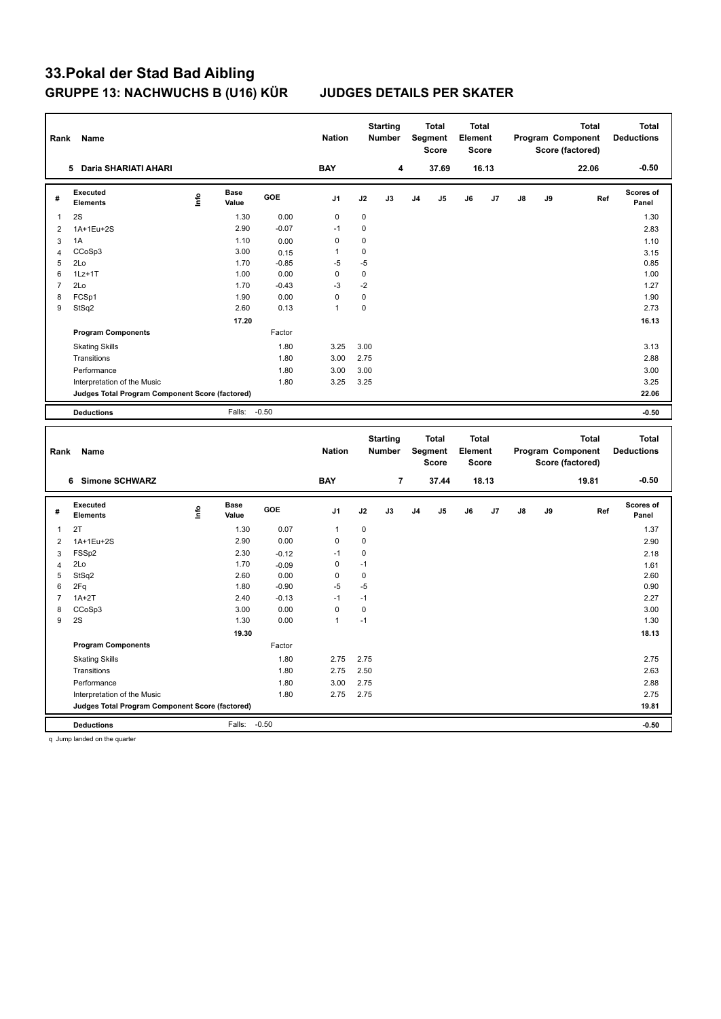| Rank                    | Name                                            |      |                      |         | <b>Nation</b>  |             | <b>Starting</b><br>Number        |                | <b>Total</b><br><b>Segment</b><br><b>Score</b> | <b>Total</b><br>Element<br><b>Score</b> |       |    |    | Program Component<br>Score (factored) | <b>Total</b> | <b>Total</b><br><b>Deductions</b> |
|-------------------------|-------------------------------------------------|------|----------------------|---------|----------------|-------------|----------------------------------|----------------|------------------------------------------------|-----------------------------------------|-------|----|----|---------------------------------------|--------------|-----------------------------------|
|                         | 5 Daria SHARIATI AHARI                          |      |                      |         | <b>BAY</b>     |             | 4                                |                | 37.69                                          |                                         | 16.13 |    |    |                                       | 22.06        | $-0.50$                           |
| #                       | <b>Executed</b><br><b>Elements</b>              | lnfo | <b>Base</b><br>Value | GOE     | J <sub>1</sub> | J2          | J3                               | J <sub>4</sub> | J5                                             | J6                                      | J7    | J8 | J9 |                                       | Ref          | <b>Scores of</b><br>Panel         |
| $\mathbf{1}$            | 2S                                              |      | 1.30                 | 0.00    | $\mathbf 0$    | 0           |                                  |                |                                                |                                         |       |    |    |                                       |              | 1.30                              |
| $\overline{2}$          | 1A+1Eu+2S                                       |      | 2.90                 | $-0.07$ | $-1$           | 0           |                                  |                |                                                |                                         |       |    |    |                                       |              | 2.83                              |
| 3                       | 1A                                              |      | 1.10                 | 0.00    | 0              | 0           |                                  |                |                                                |                                         |       |    |    |                                       |              | 1.10                              |
| $\overline{\mathbf{4}}$ | CCoSp3                                          |      | 3.00                 | 0.15    | 1              | 0           |                                  |                |                                                |                                         |       |    |    |                                       |              | 3.15                              |
| 5                       | 2Lo                                             |      | 1.70                 | $-0.85$ | $-5$           | $-5$        |                                  |                |                                                |                                         |       |    |    |                                       |              | 0.85                              |
| 6                       | $1Lz+1T$                                        |      | 1.00                 | 0.00    | $\mathbf 0$    | $\pmb{0}$   |                                  |                |                                                |                                         |       |    |    |                                       |              | 1.00                              |
| $\overline{7}$          | 2Lo                                             |      | 1.70                 | $-0.43$ | $-3$           | $-2$        |                                  |                |                                                |                                         |       |    |    |                                       |              | 1.27                              |
| 8                       | FCSp1                                           |      | 1.90                 | 0.00    | $\mathbf 0$    | $\pmb{0}$   |                                  |                |                                                |                                         |       |    |    |                                       |              | 1.90                              |
| 9                       | StSq2                                           |      | 2.60                 | 0.13    | 1              | 0           |                                  |                |                                                |                                         |       |    |    |                                       |              | 2.73                              |
|                         |                                                 |      | 17.20                |         |                |             |                                  |                |                                                |                                         |       |    |    |                                       |              | 16.13                             |
|                         | <b>Program Components</b>                       |      |                      | Factor  |                |             |                                  |                |                                                |                                         |       |    |    |                                       |              |                                   |
|                         | <b>Skating Skills</b>                           |      |                      | 1.80    | 3.25           | 3.00        |                                  |                |                                                |                                         |       |    |    |                                       |              | 3.13                              |
|                         | Transitions                                     |      |                      | 1.80    | 3.00           | 2.75        |                                  |                |                                                |                                         |       |    |    |                                       |              | 2.88                              |
|                         | Performance                                     |      |                      | 1.80    | 3.00           | 3.00        |                                  |                |                                                |                                         |       |    |    |                                       |              | 3.00                              |
|                         | Interpretation of the Music                     |      |                      | 1.80    | 3.25           | 3.25        |                                  |                |                                                |                                         |       |    |    |                                       |              | 3.25                              |
|                         | Judges Total Program Component Score (factored) |      |                      |         |                |             |                                  |                |                                                |                                         |       |    |    |                                       |              | 22.06                             |
|                         | <b>Deductions</b>                               |      | Falls:               | $-0.50$ |                |             |                                  |                |                                                |                                         |       |    |    |                                       |              | $-0.50$                           |
|                         |                                                 |      |                      |         |                |             |                                  |                |                                                |                                         |       |    |    |                                       |              |                                   |
| Rank                    | Name                                            |      |                      |         | <b>Nation</b>  |             | <b>Starting</b><br><b>Number</b> |                | <b>Total</b><br><b>Segment</b><br>Score        | <b>Total</b><br>Element<br>Score        |       |    |    | Program Component<br>Score (factored) | <b>Total</b> | <b>Total</b><br><b>Deductions</b> |
|                         | 6 Simone SCHWARZ                                |      |                      |         | <b>BAY</b>     |             | $\overline{\mathbf{r}}$          |                | 37.44                                          |                                         | 18.13 |    |    |                                       | 19.81        | $-0.50$                           |
| #                       | <b>Executed</b><br><b>Elements</b>              | lnfo | <b>Base</b><br>Value | GOE     | J <sub>1</sub> | J2          | J3                               | J4             | J5                                             | J6                                      | J7    | J8 | J9 |                                       | Ref          | <b>Scores of</b><br>Panel         |
| $\mathbf{1}$            | 2T                                              |      | 1.30                 | 0.07    | 1              | $\pmb{0}$   |                                  |                |                                                |                                         |       |    |    |                                       |              | 1.37                              |
| $\overline{2}$          | 1A+1Eu+2S                                       |      | 2.90                 | 0.00    | $\mathbf 0$    | $\mathbf 0$ |                                  |                |                                                |                                         |       |    |    |                                       |              | 2.90                              |
| $\mathbf{3}$            | FSSp2                                           |      | 2.30                 | $-0.12$ | $-1$           | $\mathbf 0$ |                                  |                |                                                |                                         |       |    |    |                                       |              | 2.18                              |
| $\overline{4}$          | 2Lo                                             |      | 1.70                 | $-0.09$ | $\mathbf 0$    | $-1$        |                                  |                |                                                |                                         |       |    |    |                                       |              | 1.61                              |
| 5                       | StSq2                                           |      | 2.60                 | 0.00    | $\mathbf 0$    | $\mathbf 0$ |                                  |                |                                                |                                         |       |    |    |                                       |              | 2.60                              |
| 6                       | 2Fq                                             |      | 1.80                 | $-0.90$ | $-5$           | $-5$        |                                  |                |                                                |                                         |       |    |    |                                       |              | 0.90                              |
| $\overline{7}$          | $1A+2T$                                         |      | 2.40                 | $-0.13$ | $-1$           | $-1$        |                                  |                |                                                |                                         |       |    |    |                                       |              | 2.27                              |
| 8                       | CCoSp3                                          |      | 3.00                 | 0.00    | $\mathbf 0$    | $\pmb{0}$   |                                  |                |                                                |                                         |       |    |    |                                       |              | 3.00                              |
| $\boldsymbol{9}$        | 2S                                              |      | 1.30                 | 0.00    | $\mathbf{1}$   | $-1$        |                                  |                |                                                |                                         |       |    |    |                                       |              | 1.30                              |
|                         |                                                 |      | 19.30                |         |                |             |                                  |                |                                                |                                         |       |    |    |                                       |              | 18.13                             |
|                         | <b>Program Components</b>                       |      |                      | Factor  |                |             |                                  |                |                                                |                                         |       |    |    |                                       |              |                                   |
|                         | <b>Skating Skills</b>                           |      |                      | 1.80    | 2.75           | 2.75        |                                  |                |                                                |                                         |       |    |    |                                       |              | 2.75                              |
|                         | Transitions                                     |      |                      | 1.80    | 2.75           | 2.50        |                                  |                |                                                |                                         |       |    |    |                                       |              | 2.63                              |
|                         | Performance                                     |      |                      | 1.80    | 3.00           | 2.75        |                                  |                |                                                |                                         |       |    |    |                                       |              | 2.88                              |
|                         | Interpretation of the Music                     |      |                      | 1.80    | 2.75           | 2.75        |                                  |                |                                                |                                         |       |    |    |                                       |              | 2.75                              |
|                         | Judges Total Program Component Score (factored) |      |                      |         |                |             |                                  |                |                                                |                                         |       |    |    |                                       |              | 19.81                             |

q Jump landed on the quarter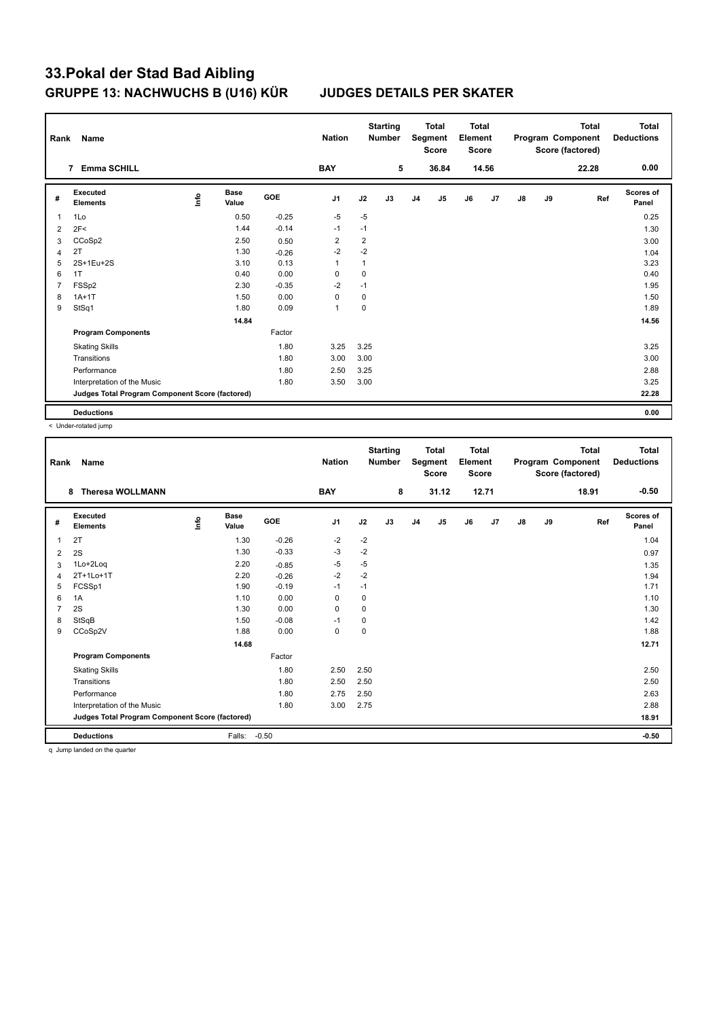| Rank           | Name                                            |      |                      |            | <b>Nation</b>  |                | <b>Starting</b><br><b>Number</b> |                | <b>Total</b><br>Segment<br><b>Score</b> | <b>Total</b><br>Element<br><b>Score</b> |                |    |    | <b>Total</b><br>Program Component<br>Score (factored) | Total<br><b>Deductions</b> |
|----------------|-------------------------------------------------|------|----------------------|------------|----------------|----------------|----------------------------------|----------------|-----------------------------------------|-----------------------------------------|----------------|----|----|-------------------------------------------------------|----------------------------|
|                | <b>Emma SCHILL</b><br>7                         |      |                      |            | <b>BAY</b>     |                | 5                                |                | 36.84                                   |                                         | 14.56          |    |    | 22.28                                                 | 0.00                       |
| #              | Executed<br><b>Elements</b>                     | ١nfo | <b>Base</b><br>Value | <b>GOE</b> | J <sub>1</sub> | J2             | J3                               | J <sub>4</sub> | J <sub>5</sub>                          | J6                                      | J <sub>7</sub> | J8 | J9 | Ref                                                   | <b>Scores of</b><br>Panel  |
| $\overline{1}$ | 1Lo                                             |      | 0.50                 | $-0.25$    | $-5$           | $-5$           |                                  |                |                                         |                                         |                |    |    |                                                       | 0.25                       |
| 2              | 2F<                                             |      | 1.44                 | $-0.14$    | $-1$           | $-1$           |                                  |                |                                         |                                         |                |    |    |                                                       | 1.30                       |
| 3              | CCoSp2                                          |      | 2.50                 | 0.50       | $\overline{2}$ | $\overline{2}$ |                                  |                |                                         |                                         |                |    |    |                                                       | 3.00                       |
| $\overline{4}$ | 2T                                              |      | 1.30                 | $-0.26$    | $-2$           | $-2$           |                                  |                |                                         |                                         |                |    |    |                                                       | 1.04                       |
| 5              | 2S+1Eu+2S                                       |      | 3.10                 | 0.13       | $\overline{1}$ | $\mathbf{1}$   |                                  |                |                                         |                                         |                |    |    |                                                       | 3.23                       |
| 6              | 1T                                              |      | 0.40                 | 0.00       | $\Omega$       | 0              |                                  |                |                                         |                                         |                |    |    |                                                       | 0.40                       |
| $\overline{7}$ | FSS <sub>p2</sub>                               |      | 2.30                 | $-0.35$    | $-2$           | $-1$           |                                  |                |                                         |                                         |                |    |    |                                                       | 1.95                       |
| 8              | $1A+1T$                                         |      | 1.50                 | 0.00       | 0              | 0              |                                  |                |                                         |                                         |                |    |    |                                                       | 1.50                       |
| 9              | StSq1                                           |      | 1.80                 | 0.09       | $\mathbf{1}$   | $\mathbf 0$    |                                  |                |                                         |                                         |                |    |    |                                                       | 1.89                       |
|                |                                                 |      | 14.84                |            |                |                |                                  |                |                                         |                                         |                |    |    |                                                       | 14.56                      |
|                | <b>Program Components</b>                       |      |                      | Factor     |                |                |                                  |                |                                         |                                         |                |    |    |                                                       |                            |
|                | <b>Skating Skills</b>                           |      |                      | 1.80       | 3.25           | 3.25           |                                  |                |                                         |                                         |                |    |    |                                                       | 3.25                       |
|                | Transitions                                     |      |                      | 1.80       | 3.00           | 3.00           |                                  |                |                                         |                                         |                |    |    |                                                       | 3.00                       |
|                | Performance                                     |      |                      | 1.80       | 2.50           | 3.25           |                                  |                |                                         |                                         |                |    |    |                                                       | 2.88                       |
|                | Interpretation of the Music                     |      |                      | 1.80       | 3.50           | 3.00           |                                  |                |                                         |                                         |                |    |    |                                                       | 3.25                       |
|                | Judges Total Program Component Score (factored) |      |                      |            |                |                |                                  |                |                                         |                                         |                |    |    |                                                       | 22.28                      |
|                | <b>Deductions</b>                               |      |                      |            |                |                |                                  |                |                                         |                                         |                |    |    |                                                       | 0.00                       |

< Under-rotated jump

| Rank | Name                                            |    |                      |         | <b>Nation</b>  |           | <b>Starting</b><br><b>Number</b> |                | <b>Total</b><br>Segment<br><b>Score</b> | <b>Total</b><br>Element<br><b>Score</b> |       |               |    | <b>Total</b><br>Program Component<br>Score (factored) | <b>Total</b><br><b>Deductions</b> |
|------|-------------------------------------------------|----|----------------------|---------|----------------|-----------|----------------------------------|----------------|-----------------------------------------|-----------------------------------------|-------|---------------|----|-------------------------------------------------------|-----------------------------------|
|      | <b>Theresa WOLLMANN</b><br>8                    |    |                      |         | <b>BAY</b>     |           | 8                                |                | 31.12                                   |                                         | 12.71 |               |    | 18.91                                                 | $-0.50$                           |
| #    | Executed<br><b>Elements</b>                     | ۴ů | <b>Base</b><br>Value | GOE     | J <sub>1</sub> | J2        | J3                               | J <sub>4</sub> | J5                                      | J6                                      | J7    | $\mathsf{J}8$ | J9 | Ref                                                   | Scores of<br>Panel                |
| 1    | 2T                                              |    | 1.30                 | $-0.26$ | -2             | $-2$      |                                  |                |                                         |                                         |       |               |    |                                                       | 1.04                              |
| 2    | 2S                                              |    | 1.30                 | $-0.33$ | -3             | $-2$      |                                  |                |                                         |                                         |       |               |    |                                                       | 0.97                              |
| 3    | 1Lo+2Log                                        |    | 2.20                 | $-0.85$ | $-5$           | $-5$      |                                  |                |                                         |                                         |       |               |    |                                                       | 1.35                              |
| 4    | 2T+1Lo+1T                                       |    | 2.20                 | $-0.26$ | $-2$           | $-2$      |                                  |                |                                         |                                         |       |               |    |                                                       | 1.94                              |
| 5    | FCSSp1                                          |    | 1.90                 | $-0.19$ | $-1$           | $-1$      |                                  |                |                                         |                                         |       |               |    |                                                       | 1.71                              |
| 6    | 1A                                              |    | 1.10                 | 0.00    | $\mathbf 0$    | 0         |                                  |                |                                         |                                         |       |               |    |                                                       | 1.10                              |
|      | 2S                                              |    | 1.30                 | 0.00    | 0              | 0         |                                  |                |                                         |                                         |       |               |    |                                                       | 1.30                              |
| 8    | StSqB                                           |    | 1.50                 | $-0.08$ | $-1$           | $\pmb{0}$ |                                  |                |                                         |                                         |       |               |    |                                                       | 1.42                              |
| 9    | CCoSp2V                                         |    | 1.88                 | 0.00    | $\mathbf 0$    | 0         |                                  |                |                                         |                                         |       |               |    |                                                       | 1.88                              |
|      |                                                 |    | 14.68                |         |                |           |                                  |                |                                         |                                         |       |               |    |                                                       | 12.71                             |
|      | <b>Program Components</b>                       |    |                      | Factor  |                |           |                                  |                |                                         |                                         |       |               |    |                                                       |                                   |
|      | <b>Skating Skills</b>                           |    |                      | 1.80    | 2.50           | 2.50      |                                  |                |                                         |                                         |       |               |    |                                                       | 2.50                              |
|      | Transitions                                     |    |                      | 1.80    | 2.50           | 2.50      |                                  |                |                                         |                                         |       |               |    |                                                       | 2.50                              |
|      | Performance                                     |    |                      | 1.80    | 2.75           | 2.50      |                                  |                |                                         |                                         |       |               |    |                                                       | 2.63                              |
|      | Interpretation of the Music                     |    |                      | 1.80    | 3.00           | 2.75      |                                  |                |                                         |                                         |       |               |    |                                                       | 2.88                              |
|      | Judges Total Program Component Score (factored) |    |                      |         |                |           |                                  |                |                                         |                                         |       |               |    |                                                       | 18.91                             |
|      | <b>Deductions</b>                               |    | Falls:               | $-0.50$ |                |           |                                  |                |                                         |                                         |       |               |    |                                                       | $-0.50$                           |

q Jump landed on the quarter